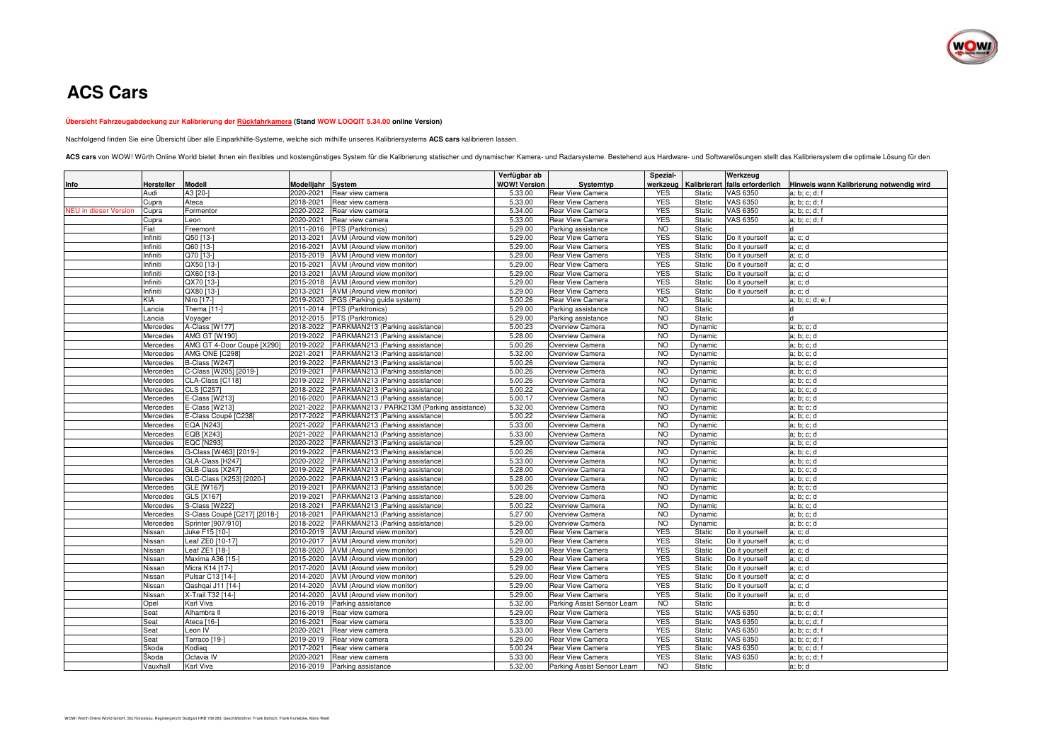

## **ACS Cars**

## **Übersicht Fahrzeugabdeckung zur Kalibrierung der Rückfahrkamera (Stand WOW LOOQIT 5.34.00 online Version)**

Nachfolgend finden Sie eine Übersicht über alle Einparkhilfe-Systeme, welche sich mithilfe unseres Kalibriersystems **ACS cars** kalibrieren lassen.

ACS cars von WOW! Würth Online World bietet Ihnen ein flexibles und kostengünstiges System für die Kalibrierung statischer und dynamischer Kamera- und Radarsysteme. Bestehend aus Hardware- und Softwarelösungen stellt das K

|                              |                   |                              |            |                                            | Verfügbar ab        |                             | Spezial-   |         | Werkzeug                        |                                          |
|------------------------------|-------------------|------------------------------|------------|--------------------------------------------|---------------------|-----------------------------|------------|---------|---------------------------------|------------------------------------------|
| Info                         | <b>Hersteller</b> | <b>Modell</b>                | Modelljahr | <b>System</b>                              | <b>WOW! Version</b> | Systemtyp                   | werkzeug   |         | Kalibrierart falls erforderlich | Hinweis wann Kalibrierung notwendig wird |
|                              | Audi              | A3 [20-]                     | 2020-2021  | Rear view camera                           | 5.33.00             | <b>Rear View Camera</b>     | <b>YES</b> | Static  | <b>VAS 6350</b>                 | a; b; c; d; f                            |
|                              | Cupra             | Ateca                        | 2018-2021  | Rear view camera                           | 5.33.00             | <b>Rear View Camera</b>     | <b>YES</b> | Static  | VAS 6350                        | a; b; c; d; f                            |
| <b>NEU</b> in dieser Version | Cupra             | Formentor                    | 2020-2022  | Rear view camera                           | 5.34.00             | <b>Rear View Camera</b>     | <b>YES</b> | Static  | VAS 6350                        | a; b; c; d; f                            |
|                              | Cupra             | Leon                         | 2020-2021  | Rear view camera                           | 5.33.00             | Rear View Camera            | <b>YES</b> | Static  | <b>VAS 6350</b>                 | a; b; c; d; f                            |
|                              | Fiat              | Freemont                     | 2011-2016  | PTS (Parktronics)                          | 5.29.00             | Parking assistance          | <b>NO</b>  | Static  |                                 | ld                                       |
|                              | Infiniti          | Q50 [13-]                    | 2013-2021  | AVM (Around view monitor)                  | 5.29.00             | <b>Rear View Camera</b>     | <b>YES</b> | Static  | Do it yourself                  | a: c: d                                  |
|                              | Infiniti          | Q60 [13-]                    | 2016-2021  | AVM (Around view monitor)                  | 5.29.00             | <b>Rear View Camera</b>     | <b>YES</b> | Static  | Do it yourself                  | a; c; d                                  |
|                              | Infiniti          | $\overline{Q}$ 70 [13-]      | 2015-2019  | AVM (Around view monitor)                  | 5.29.00             | <b>Rear View Camera</b>     | <b>YES</b> | Static  | Do it yourself                  | a; c; d                                  |
|                              | Infiniti          | QX50 [13-                    | 2015-2021  | AVM (Around view monitor)                  | 5.29.00             | Rear View Camera            | <b>YES</b> | Static  | Do it yourself                  | a; c; d                                  |
|                              | Infiniti          | QX60 [13-]                   | 2013-2021  | AVM (Around view monitor)                  | 5.29.00             | Rear View Camera            | <b>YES</b> | Static  | Do it yourself                  | a: c: d                                  |
|                              | Infiniti          | QX70 [13-]                   | 2015-2018  | AVM (Around view monitor)                  | 5.29.00             | <b>Rear View Camera</b>     | <b>YES</b> | Static  | Do it yourself                  | a: c: d                                  |
|                              | Infiniti          | QX80 [13-]                   | 2013-2021  | AVM (Around view monitor)                  | 5.29.00             | <b>Rear View Camera</b>     | <b>YES</b> | Static  | Do it yourself                  | a: c: d                                  |
|                              | <b>KIA</b>        | Niro [17-]                   | 2019-2020  | PGS (Parking guide system)                 | 5.00.26             | <b>Rear View Camera</b>     | <b>NO</b>  | Static  |                                 | a; b; c; d; e; f                         |
|                              | Lancia            | Thema [11-]                  | 2011-2014  | PTS (Parktronics)                          | 5.29.00             | Parking assistance          | <b>NO</b>  | Static  |                                 | d                                        |
|                              | Lancia            | Voyager                      | 2012-2015  | PTS (Parktronics)                          | 5.29.00             | Parking assistance          | <b>NO</b>  | Static  |                                 | $\mathsf{d}$                             |
|                              | Mercedes          | A-Class [W177]               | 2018-2022  | PARKMAN213 (Parking assistance)            | 5.00.23             | Overview Camera             | <b>NO</b>  | Dynamic |                                 | a: b: c: d                               |
|                              | Mercedes          | <b>AMG GT [W190]</b>         | 2019-2022  | PARKMAN213 (Parking assistance)            | 5.28.00             | Overview Camera             | <b>NO</b>  | Dynamic |                                 | a; b; c; d                               |
|                              | Mercedes          | AMG GT 4-Door Coupé [X290]   | 2019-2022  | PARKMAN213 (Parking assistance)            | 5.00.26             | Overview Camera             | <b>NO</b>  | Dynamic |                                 | a: b: c: d                               |
|                              | Mercedes          | AMG ONE [C298]               | 2021-2021  | PARKMAN213 (Parking assistance)            | 5.32.00             | Overview Camera             | <b>NO</b>  | Dynamic |                                 | a: b: c: d                               |
|                              | Mercedes          | B-Class [W247]               | 2019-2022  | PARKMAN213 (Parking assistance)            | 5.00.26             | Overview Camera             | <b>NO</b>  | Dynamic |                                 | a; b; c; d                               |
|                              | Mercedes          | C-Class [W205] [2019-]       | 2019-2021  | PARKMAN213 (Parking assistance)            | 5.00.26             | Overview Camera             | <b>NO</b>  | Dynamic |                                 | a; b; c; d                               |
|                              | Mercedes          | CLA-Class [C118]             | 2019-2022  | PARKMAN213 (Parking assistance)            | 5.00.26             | Overview Camera             | <b>NO</b>  | Dynamic |                                 | a: b: c: d                               |
|                              | Mercedes          | <b>CLS [C257]</b>            | 2018-2022  | PARKMAN213 (Parking assistance)            | 5.00.22             | Overview Camera             | <b>NO</b>  | Dynamic |                                 | a; b; c; d                               |
|                              | Mercedes          | E-Class [W213]               | 2016-2020  | PARKMAN213 (Parking assistance)            | 5.00.17             | Overview Camera             | NO         | Dynamic |                                 | a: b: c: d                               |
|                              | Mercedes          | E-Class [W213]               | 2021-2022  | PARKMAN213 / PARK213M (Parking assistance) | 5.32.00             | Overview Camera             | <b>NO</b>  | Dynamic |                                 | a; b; c; d                               |
|                              | Mercedes          | E-Class Coupé [C238]         | 2017-2022  | PARKMAN213 (Parking assistance)            | 5.00.22             | Overview Camera             | <b>NO</b>  | Dynamic |                                 | a: b: c: d                               |
|                              | Mercedes          | <b>EQA [N243]</b>            | 2021-2022  | PARKMAN213 (Parking assistance)            | 5.33.00             | Overview Camera             | <b>NO</b>  | Dynamic |                                 | a: b: c: d                               |
|                              | Mercedes          | <b>EQB</b> [X243]            | 2021-2022  | PARKMAN213 (Parking assistance)            | 5.33.00             | Overview Camera             | <b>NO</b>  | Dynamic |                                 | a; b; c; d                               |
|                              | Mercedes          | <b>EQC [N293]</b>            | 2020-2022  | PARKMAN213 (Parking assistance)            | 5.29.00             | Overview Camera             | <b>NO</b>  | Dynamic |                                 | a; b; c; d                               |
|                              | Mercedes          | G-Class [W463] [2019-]       | 2019-2022  | PARKMAN213 (Parking assistance)            | 5.00.26             | Overview Camera             | <b>NO</b>  | Dynamic |                                 | a; b; c; d                               |
|                              | Mercedes          | GLA-Class [H247]             | 2020-2022  | PARKMAN213 (Parking assistance)            | 5.33.00             | Overview Camera             | <b>NO</b>  | Dynamic |                                 | a: b: c: d                               |
|                              | Mercedes          | GLB-Class [X247]             | 2019-2022  | PARKMAN213 (Parking assistance)            | 5.28.00             | Overview Camera             | <b>NO</b>  | Dynamic |                                 | a; b; c; d                               |
|                              | Mercedes          | GLC-Class [X253] [2020-]     | 2020-2022  | PARKMAN213 (Parking assistance)            | 5.28.00             | Overview Camera             | <b>NO</b>  | Dynamic |                                 | a; b; c; d                               |
|                              | Mercedes          | <b>GLE [W167]</b>            | 2019-2021  | PARKMAN213 (Parking assistance)            | 5.00.26             | Overview Camera             | <b>NO</b>  | Dynamic |                                 | a: b: c: d                               |
|                              | Mercedes          | GLS [X167]                   | 2019-2021  | PARKMAN213 (Parking assistance)            | 5.28.00             | Overview Camera             | <b>NO</b>  | Dynamic |                                 | a; b; c; d                               |
|                              | Mercedes          | S-Class [W222]               | 2018-2021  | PARKMAN213 (Parking assistance)            | 5.00.22             | Overview Camera             | <b>NO</b>  | Dynamic |                                 | a; b; c; d                               |
|                              | Mercedes          | S-Class Coupé [C217] [2018-] | 2018-2021  | PARKMAN213 (Parking assistance)            | 5.27.00             | Overview Camera             | <b>NO</b>  | Dynamic |                                 | a: b: c: d                               |
|                              | Mercedes          | Sprinter [907/910]           | 2018-2022  | PARKMAN213 (Parking assistance)            | 5.29.00             | Overview Camera             | <b>NO</b>  | Dynamic |                                 | a: b: c: d                               |
|                              | Nissan            | Juke F15 [10-]               | 2010-2019  | AVM (Around view monitor)                  | 5.29.00             | <b>Rear View Camera</b>     | <b>YES</b> | Static  | Do it yourself                  | a; c; d                                  |
|                              | Nissan            | Leaf ZE0 [10-17]             | 2010-2017  | AVM (Around view monitor)                  | 5.29.00             | <b>Rear View Camera</b>     | <b>YES</b> | Static  | Do it yourself                  | a: c: d                                  |
|                              | Nissan            | Leaf ZE1 [18-]               | 2018-2020  | AVM (Around view monitor)                  | 5.29.00             | <b>Rear View Camera</b>     | <b>YES</b> | Static  | Do it yourself                  | a: c: d                                  |
|                              | Nissan            | Maxima A36 [15-]             | 2015-2020  | AVM (Around view monitor)                  | 5.29.00             | <b>Rear View Camera</b>     | <b>YES</b> | Static  | Do it yourself                  | a: c: d                                  |
|                              | Nissan            | Micra K14 [17-]              | 2017-2020  | AVM (Around view monitor)                  | 5.29.00             | <b>Rear View Camera</b>     | <b>YES</b> | Static  | Do it yourself                  | a: c: d                                  |
|                              | Nissan            | Pulsar C13 [14-]             | 2014-2020  | AVM (Around view monitor)                  | 5.29.00             | Rear View Camera            | <b>YES</b> | Static  | Do it yourself                  | a: c: d                                  |
|                              | Nissan            | Qashqai J11 [14-1            | 2014-2020  | AVM (Around view monitor)                  | 5.29.00             | Rear View Camera            | <b>YES</b> | Static  | Do it yourself                  | a; c; d                                  |
|                              | Nissan            | X-Trail T32 [14-]            | 2014-2020  | AVM (Around view monitor)                  | 5.29.00             | <b>Rear View Camera</b>     | <b>YES</b> | Static  | Do it yourself                  | a: c: d                                  |
|                              | Opel              | Karl Viva                    | 2016-2019  | Parking assistance                         | 5.32.00             | Parking Assist Sensor Learn | <b>NO</b>  | Static  |                                 | a; b; d                                  |
|                              | Seat              | Alhambra II                  | 2016-2019  | Rear view camera                           | 5.29.00             | Rear View Camera            | <b>YES</b> | Static  | <b>VAS 6350</b>                 | a; b; c; d; f                            |
|                              | Seat              | Ateca [16-]                  | 2016-2021  | Rear view camera                           | 5.33.00             | Rear View Camera            | <b>YES</b> | Static  | VAS 6350                        | a; b; c; d; f                            |
|                              | Seat              | Leon IV                      | 2020-2021  | Rear view camera                           | 5.33.00             | Rear View Camera            | <b>YES</b> | Static  | <b>VAS 6350</b>                 | a; b; c; d; f                            |
|                              | Seat              | Tarraco [19-]                | 2019-2019  | Rear view camera                           | 5.29.00             | <b>Rear View Camera</b>     | <b>YES</b> | Static  | <b>VAS 6350</b>                 | a; b; c; d; f                            |
|                              | Škoda             | Kodiag                       | 2017-2021  | Rear view camera                           | 5.00.24             | Rear View Camera            | <b>YES</b> | Static  | VAS 6350                        | a; b; c; d; f                            |
|                              | Škoda             | Octavia IV                   | 2020-2021  | Rear view camera                           | 5.33.00             | <b>Rear View Camera</b>     | <b>YES</b> | Static  | VAS 6350                        | a; b; c; d; f                            |
|                              | Vauxhall          | Karl Viva                    | 2016-2019  | Parking assistance                         | 5.32.00             | Parking Assist Sensor Learn | <b>NO</b>  | Static  |                                 | a; b; d                                  |